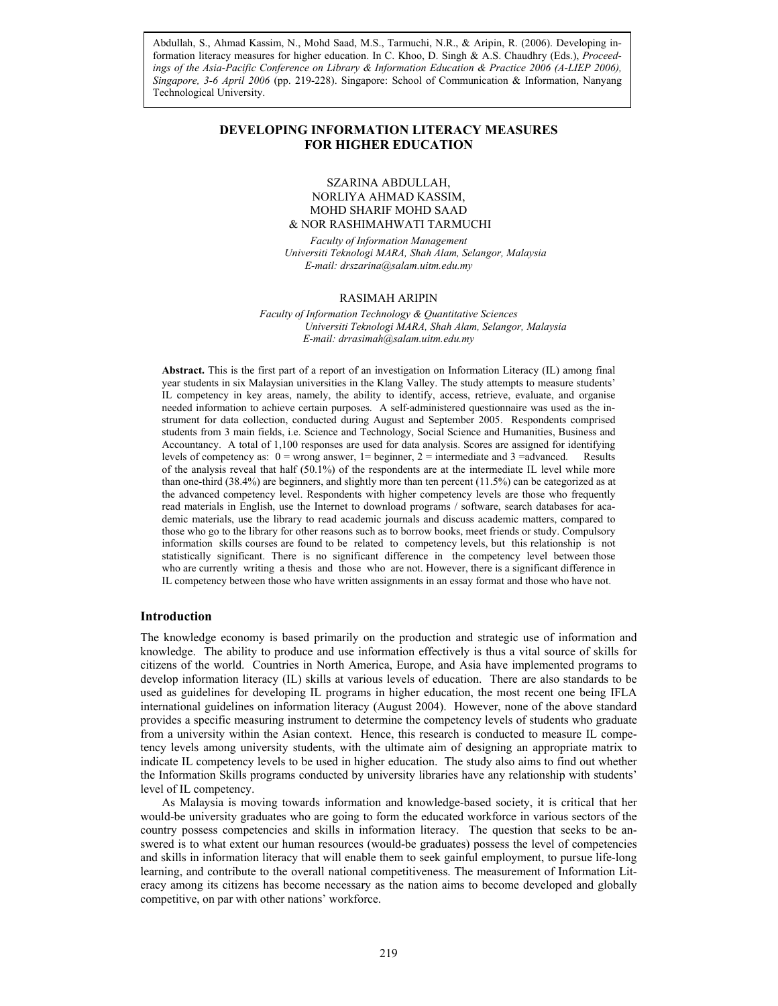*Asia-Pacific Conference on Library & Information Education & Practice, 2006 Singapore, 3-6 April 2006* (pp. 219-228). Singapore: School of Communication & Information, Nanyang Abdullah, S., Ahmad Kassim, N., Mohd Saad, M.S., Tarmuchi, N.R., & Aripin, R. (2006). Developing information literacy measures for higher education. In C. Khoo, D. Singh & A.S. Chaudhry (Eds.), *Proceedings of the Asia-Pacific Conference on Library & Information Education & Practice 2006 (A-LIEP 2006),*  Technological University.

## **DEVELOPING INFORMATION LITERACY MEASURES FOR HIGHER EDUCATION**

### SZARINA ABDULLAH, NORLIYA AHMAD KASSIM, MOHD SHARIF MOHD SAAD & NOR RASHIMAHWATI TARMUCHI

*Faculty of Information Management Universiti Teknologi MARA, Shah Alam, Selangor, Malaysia E-mail: drszarina@salam.uitm.edu.my* 

#### RASIMAH ARIPIN

*Faculty of Information Technology & Quantitative Sciences Universiti Teknologi MARA, Shah Alam, Selangor, Malaysia E-mail: drrasimah@salam.uitm.edu.my* 

**Abstract.** This is the first part of a report of an investigation on Information Literacy (IL) among final year students in six Malaysian universities in the Klang Valley. The study attempts to measure students' IL competency in key areas, namely, the ability to identify, access, retrieve, evaluate, and organise needed information to achieve certain purposes. A self-administered questionnaire was used as the instrument for data collection, conducted during August and September 2005. Respondents comprised students from 3 main fields, i.e. Science and Technology, Social Science and Humanities, Business and Accountancy. A total of 1,100 responses are used for data analysis. Scores are assigned for identifying levels of competency as:  $0 =$  wrong answer,  $1 =$  beginner,  $2 =$  intermediate and  $3 =$  advanced. Results of the analysis reveal that half (50.1%) of the respondents are at the intermediate IL level while more than one-third (38.4%) are beginners, and slightly more than ten percent (11.5%) can be categorized as at the advanced competency level. Respondents with higher competency levels are those who frequently read materials in English, use the Internet to download programs / software, search databases for academic materials, use the library to read academic journals and discuss academic matters, compared to those who go to the library for other reasons such as to borrow books, meet friends or study. Compulsory information skills courses are found to be related to competency levels, but this relationship is not statistically significant. There is no significant difference in the competency level between those who are currently writing a thesis and those who are not. However, there is a significant difference in IL competency between those who have written assignments in an essay format and those who have not.

#### **Introduction**

The knowledge economy is based primarily on the production and strategic use of information and knowledge. The ability to produce and use information effectively is thus a vital source of skills for citizens of the world. Countries in North America, Europe, and Asia have implemented programs to develop information literacy (IL) skills at various levels of education. There are also standards to be used as guidelines for developing IL programs in higher education, the most recent one being IFLA international guidelines on information literacy (August 2004). However, none of the above standard provides a specific measuring instrument to determine the competency levels of students who graduate from a university within the Asian context. Hence, this research is conducted to measure IL competency levels among university students, with the ultimate aim of designing an appropriate matrix to indicate IL competency levels to be used in higher education. The study also aims to find out whether the Information Skills programs conducted by university libraries have any relationship with students' level of IL competency.

As Malaysia is moving towards information and knowledge-based society, it is critical that her would-be university graduates who are going to form the educated workforce in various sectors of the country possess competencies and skills in information literacy. The question that seeks to be answered is to what extent our human resources (would-be graduates) possess the level of competencies and skills in information literacy that will enable them to seek gainful employment, to pursue life-long learning, and contribute to the overall national competitiveness. The measurement of Information Literacy among its citizens has become necessary as the nation aims to become developed and globally competitive, on par with other nations' workforce.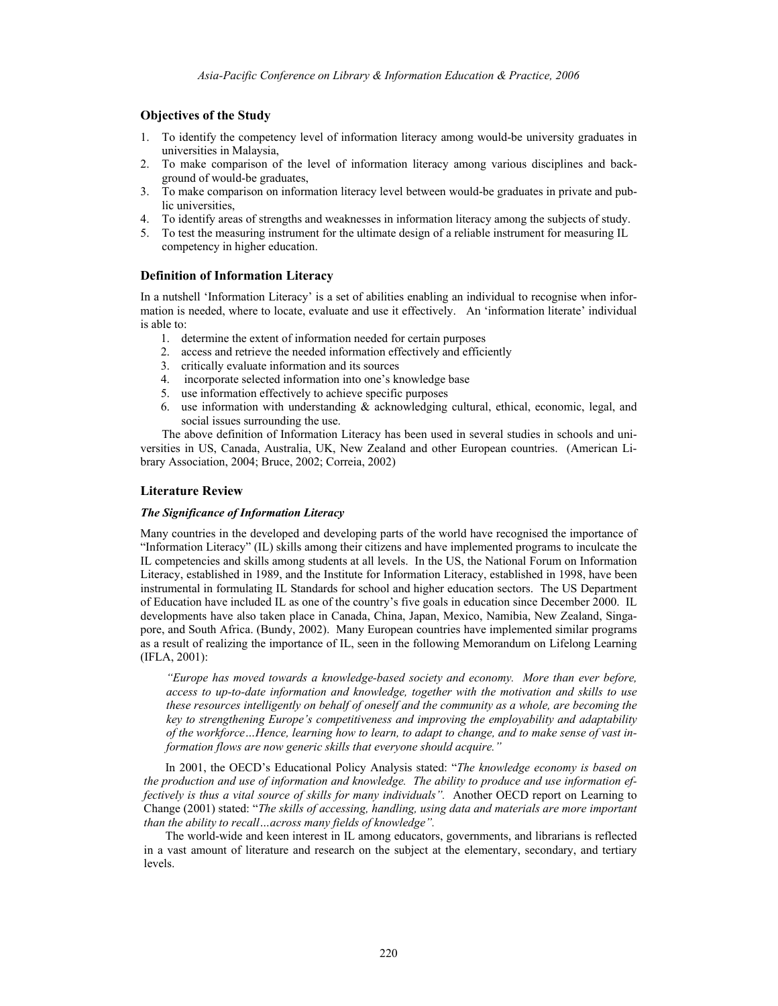## **Objectives of the Study**

- 1. To identify the competency level of information literacy among would-be university graduates in universities in Malaysia,
- 2. To make comparison of the level of information literacy among various disciplines and background of would-be graduates,
- 3. To make comparison on information literacy level between would-be graduates in private and public universities,
- 4. To identify areas of strengths and weaknesses in information literacy among the subjects of study.
- 5. To test the measuring instrument for the ultimate design of a reliable instrument for measuring IL competency in higher education.

#### **Definition of Information Literacy**

In a nutshell 'Information Literacy' is a set of abilities enabling an individual to recognise when information is needed, where to locate, evaluate and use it effectively. An 'information literate' individual is able to:

- 1. determine the extent of information needed for certain purposes
- 2. access and retrieve the needed information effectively and efficiently
- 3. critically evaluate information and its sources
- 4. incorporate selected information into one's knowledge base
- 5. use information effectively to achieve specific purposes
- 6. use information with understanding & acknowledging cultural, ethical, economic, legal, and social issues surrounding the use.

The above definition of Information Literacy has been used in several studies in schools and universities in US, Canada, Australia, UK, New Zealand and other European countries. (American Library Association, 2004; Bruce, 2002; Correia, 2002)

#### **Literature Review**

#### *The Significance of Information Literacy*

Many countries in the developed and developing parts of the world have recognised the importance of "Information Literacy" (IL) skills among their citizens and have implemented programs to inculcate the IL competencies and skills among students at all levels. In the US, the National Forum on Information Literacy, established in 1989, and the Institute for Information Literacy, established in 1998, have been instrumental in formulating IL Standards for school and higher education sectors. The US Department of Education have included IL as one of the country's five goals in education since December 2000. IL developments have also taken place in Canada, China, Japan, Mexico, Namibia, New Zealand, Singapore, and South Africa. (Bundy, 2002). Many European countries have implemented similar programs as a result of realizing the importance of IL, seen in the following Memorandum on Lifelong Learning (IFLA, 2001):

*"Europe has moved towards a knowledge-based society and economy. More than ever before, access to up-to-date information and knowledge, together with the motivation and skills to use these resources intelligently on behalf of oneself and the community as a whole, are becoming the key to strengthening Europe's competitiveness and improving the employability and adaptability of the workforce…Hence, learning how to learn, to adapt to change, and to make sense of vast information flows are now generic skills that everyone should acquire."* 

In 2001, the OECD's Educational Policy Analysis stated: "*The knowledge economy is based on the production and use of information and knowledge. The ability to produce and use information effectively is thus a vital source of skills for many individuals".* Another OECD report on Learning to Change (2001) stated: "*The skills of accessing, handling, using data and materials are more important than the ability to recall…across many fields of knowledge".* 

The world-wide and keen interest in IL among educators, governments, and librarians is reflected in a vast amount of literature and research on the subject at the elementary, secondary, and tertiary levels.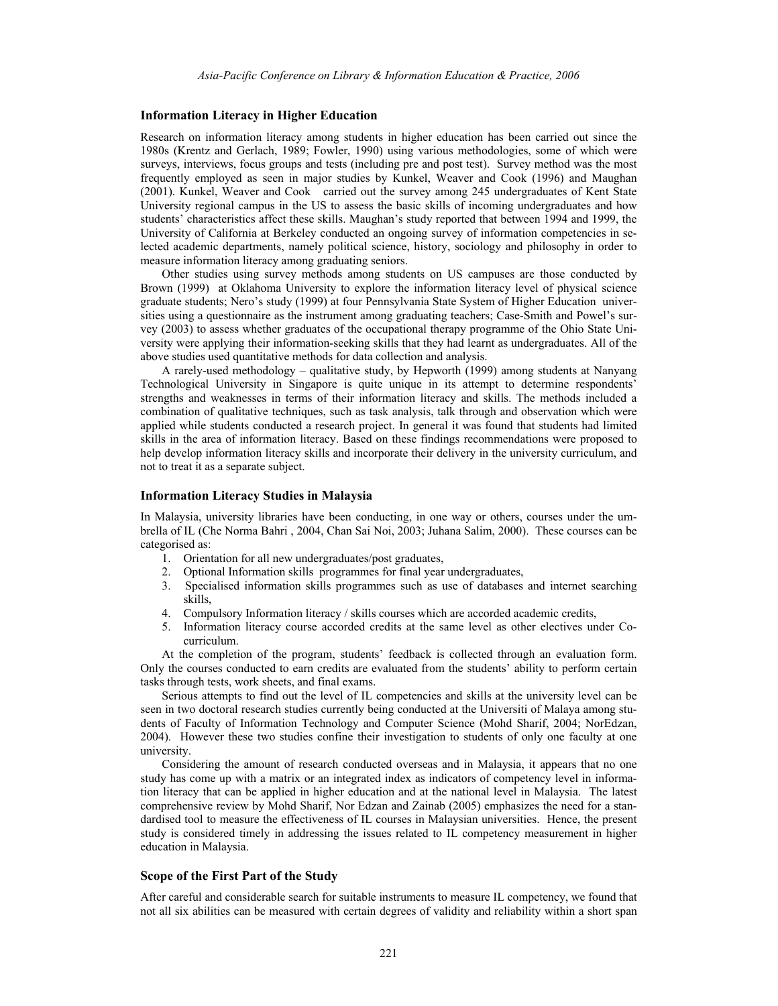#### **Information Literacy in Higher Education**

Research on information literacy among students in higher education has been carried out since the 1980s (Krentz and Gerlach, 1989; Fowler, 1990) using various methodologies, some of which were surveys, interviews, focus groups and tests (including pre and post test). Survey method was the most frequently employed as seen in major studies by Kunkel, Weaver and Cook (1996) and Maughan (2001). Kunkel, Weaver and Cook carried out the survey among 245 undergraduates of Kent State University regional campus in the US to assess the basic skills of incoming undergraduates and how students' characteristics affect these skills. Maughan's study reported that between 1994 and 1999, the University of California at Berkeley conducted an ongoing survey of information competencies in selected academic departments, namely political science, history, sociology and philosophy in order to measure information literacy among graduating seniors.

Other studies using survey methods among students on US campuses are those conducted by Brown (1999) at Oklahoma University to explore the information literacy level of physical science graduate students; Nero's study (1999) at four Pennsylvania State System of Higher Education universities using a questionnaire as the instrument among graduating teachers; Case-Smith and Powel's survey (2003) to assess whether graduates of the occupational therapy programme of the Ohio State University were applying their information-seeking skills that they had learnt as undergraduates. All of the above studies used quantitative methods for data collection and analysis.

A rarely-used methodology – qualitative study, by Hepworth (1999) among students at Nanyang Technological University in Singapore is quite unique in its attempt to determine respondents' strengths and weaknesses in terms of their information literacy and skills. The methods included a combination of qualitative techniques, such as task analysis, talk through and observation which were applied while students conducted a research project. In general it was found that students had limited skills in the area of information literacy. Based on these findings recommendations were proposed to help develop information literacy skills and incorporate their delivery in the university curriculum, and not to treat it as a separate subject.

#### **Information Literacy Studies in Malaysia**

In Malaysia, university libraries have been conducting, in one way or others, courses under the umbrella of IL (Che Norma Bahri , 2004, Chan Sai Noi, 2003; Juhana Salim, 2000). These courses can be categorised as:

- 1. Orientation for all new undergraduates/post graduates,
- 2. Optional Information skills programmes for final year undergraduates,
- 3. Specialised information skills programmes such as use of databases and internet searching skills,
- 4. Compulsory Information literacy / skills courses which are accorded academic credits,
- 5. Information literacy course accorded credits at the same level as other electives under Cocurriculum.

At the completion of the program, students' feedback is collected through an evaluation form. Only the courses conducted to earn credits are evaluated from the students' ability to perform certain tasks through tests, work sheets, and final exams.

Serious attempts to find out the level of IL competencies and skills at the university level can be seen in two doctoral research studies currently being conducted at the Universiti of Malaya among students of Faculty of Information Technology and Computer Science (Mohd Sharif, 2004; NorEdzan, 2004). However these two studies confine their investigation to students of only one faculty at one university.

Considering the amount of research conducted overseas and in Malaysia, it appears that no one study has come up with a matrix or an integrated index as indicators of competency level in information literacy that can be applied in higher education and at the national level in Malaysia. The latest comprehensive review by Mohd Sharif, Nor Edzan and Zainab (2005) emphasizes the need for a standardised tool to measure the effectiveness of IL courses in Malaysian universities. Hence, the present study is considered timely in addressing the issues related to IL competency measurement in higher education in Malaysia.

#### **Scope of the First Part of the Study**

After careful and considerable search for suitable instruments to measure IL competency, we found that not all six abilities can be measured with certain degrees of validity and reliability within a short span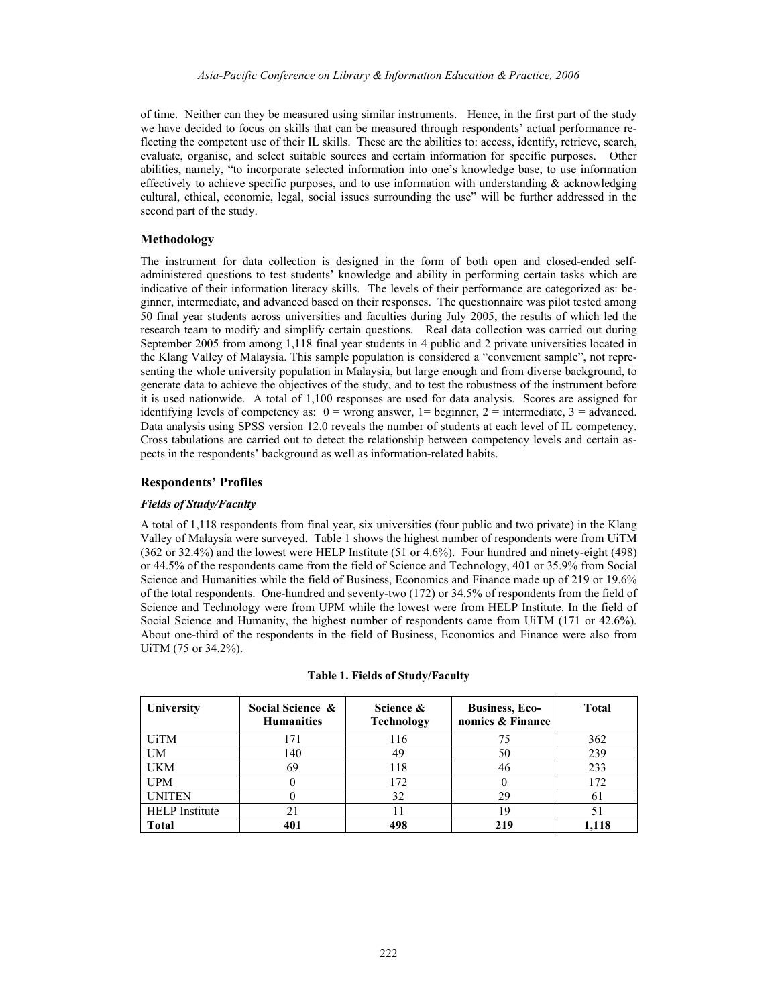of time. Neither can they be measured using similar instruments. Hence, in the first part of the study we have decided to focus on skills that can be measured through respondents' actual performance reflecting the competent use of their IL skills. These are the abilities to: access, identify, retrieve, search, evaluate, organise, and select suitable sources and certain information for specific purposes. Other abilities, namely, "to incorporate selected information into one's knowledge base, to use information effectively to achieve specific purposes, and to use information with understanding  $\&$  acknowledging cultural, ethical, economic, legal, social issues surrounding the use" will be further addressed in the second part of the study.

### **Methodology**

The instrument for data collection is designed in the form of both open and closed-ended selfadministered questions to test students' knowledge and ability in performing certain tasks which are indicative of their information literacy skills. The levels of their performance are categorized as: beginner, intermediate, and advanced based on their responses. The questionnaire was pilot tested among 50 final year students across universities and faculties during July 2005, the results of which led the research team to modify and simplify certain questions. Real data collection was carried out during September 2005 from among 1,118 final year students in 4 public and 2 private universities located in the Klang Valley of Malaysia. This sample population is considered a "convenient sample", not representing the whole university population in Malaysia, but large enough and from diverse background, to generate data to achieve the objectives of the study, and to test the robustness of the instrument before it is used nationwide. A total of 1,100 responses are used for data analysis. Scores are assigned for identifying levels of competency as:  $0 =$  wrong answer,  $1 =$  beginner,  $2 =$  intermediate,  $3 =$  advanced. Data analysis using SPSS version 12.0 reveals the number of students at each level of IL competency. Cross tabulations are carried out to detect the relationship between competency levels and certain aspects in the respondents' background as well as information-related habits.

#### **Respondents' Profiles**

# *Fields of Study/Faculty*

A total of 1,118 respondents from final year, six universities (four public and two private) in the Klang Valley of Malaysia were surveyed. Table 1 shows the highest number of respondents were from UiTM (362 or 32.4%) and the lowest were HELP Institute (51 or 4.6%). Four hundred and ninety-eight (498) or 44.5% of the respondents came from the field of Science and Technology, 401 or 35.9% from Social Science and Humanities while the field of Business, Economics and Finance made up of 219 or 19.6% of the total respondents. One-hundred and seventy-two (172) or 34.5% of respondents from the field of Science and Technology were from UPM while the lowest were from HELP Institute. In the field of Social Science and Humanity, the highest number of respondents came from UiTM (171 or 42.6%). About one-third of the respondents in the field of Business, Economics and Finance were also from UiTM (75 or 34.2%).

| University            | Social Science &<br><b>Humanities</b> | Science &<br><b>Technology</b> | <b>Business, Eco-</b><br>nomics & Finance | <b>Total</b> |
|-----------------------|---------------------------------------|--------------------------------|-------------------------------------------|--------------|
| <b>UiTM</b>           | 171                                   | 116                            | 75                                        | 362          |
| UM                    | 140                                   | 49                             | 50                                        | 239          |
| <b>UKM</b>            | 69                                    | 118                            | 46                                        | 233          |
| UPM                   |                                       | 172                            |                                           | 172          |
| <b>UNITEN</b>         |                                       | 32                             | 29                                        | 61           |
| <b>HELP</b> Institute |                                       |                                |                                           |              |
| Total                 |                                       | 498                            | 219                                       | l.118        |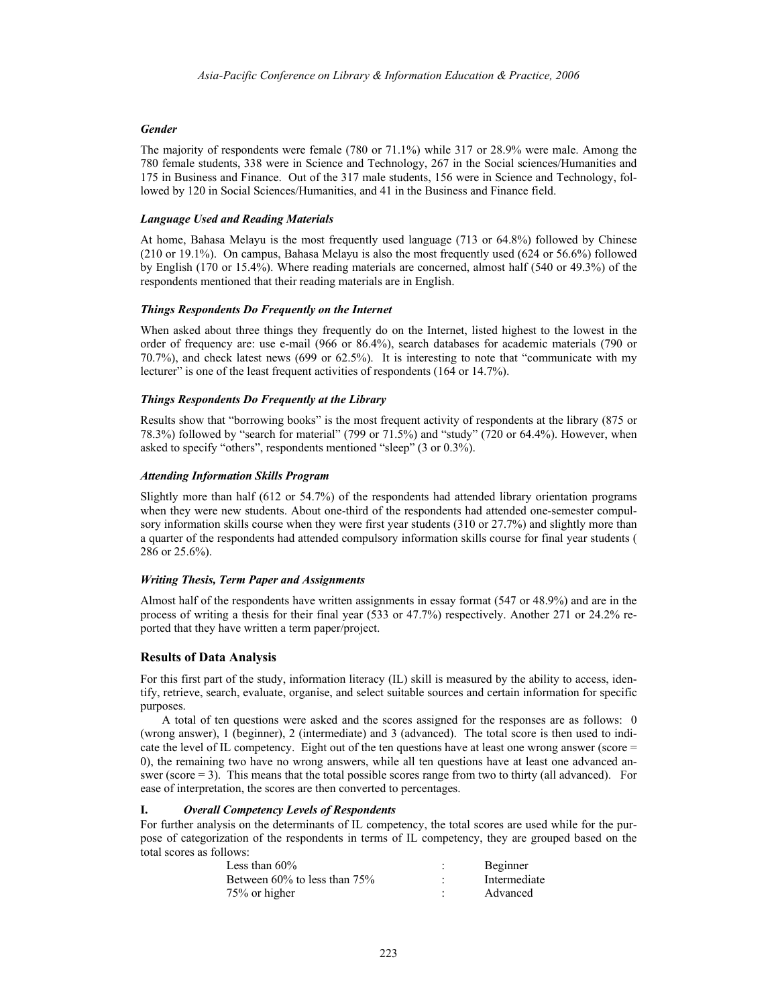### *Gender*

The majority of respondents were female (780 or 71.1%) while 317 or 28.9% were male. Among the 780 female students, 338 were in Science and Technology, 267 in the Social sciences/Humanities and 175 in Business and Finance. Out of the 317 male students, 156 were in Science and Technology, followed by 120 in Social Sciences/Humanities, and 41 in the Business and Finance field.

#### *Language Used and Reading Materials*

At home, Bahasa Melayu is the most frequently used language (713 or 64.8%) followed by Chinese (210 or 19.1%). On campus, Bahasa Melayu is also the most frequently used (624 or 56.6%) followed by English (170 or 15.4%). Where reading materials are concerned, almost half (540 or 49.3%) of the respondents mentioned that their reading materials are in English.

### *Things Respondents Do Frequently on the Internet*

When asked about three things they frequently do on the Internet, listed highest to the lowest in the order of frequency are: use e-mail (966 or 86.4%), search databases for academic materials (790 or 70.7%), and check latest news (699 or 62.5%). It is interesting to note that "communicate with my lecturer" is one of the least frequent activities of respondents (164 or 14.7%).

### *Things Respondents Do Frequently at the Library*

Results show that "borrowing books" is the most frequent activity of respondents at the library (875 or 78.3%) followed by "search for material" (799 or 71.5%) and "study" (720 or 64.4%). However, when asked to specify "others", respondents mentioned "sleep" (3 or 0.3%).

### *Attending Information Skills Program*

Slightly more than half (612 or 54.7%) of the respondents had attended library orientation programs when they were new students. About one-third of the respondents had attended one-semester compulsory information skills course when they were first year students (310 or 27.7%) and slightly more than a quarter of the respondents had attended compulsory information skills course for final year students ( 286 or 25.6%).

## *Writing Thesis, Term Paper and Assignments*

Almost half of the respondents have written assignments in essay format (547 or 48.9%) and are in the process of writing a thesis for their final year (533 or 47.7%) respectively. Another 271 or 24.2% reported that they have written a term paper/project.

## **Results of Data Analysis**

For this first part of the study, information literacy (IL) skill is measured by the ability to access, identify, retrieve, search, evaluate, organise, and select suitable sources and certain information for specific purposes.

A total of ten questions were asked and the scores assigned for the responses are as follows: 0 (wrong answer), 1 (beginner), 2 (intermediate) and 3 (advanced). The total score is then used to indicate the level of IL competency. Eight out of the ten questions have at least one wrong answer (score = 0), the remaining two have no wrong answers, while all ten questions have at least one advanced answer (score = 3). This means that the total possible scores range from two to thirty (all advanced). For ease of interpretation, the scores are then converted to percentages.

## **I.** *Overall Competency Levels of Respondents*

For further analysis on the determinants of IL competency, the total scores are used while for the purpose of categorization of the respondents in terms of IL competency, they are grouped based on the total scores as follows:

| Less than $60\%$                   | Beginner     |
|------------------------------------|--------------|
| Between $60\%$ to less than $75\%$ | Intermediate |
| 75% or higher                      | Advanced     |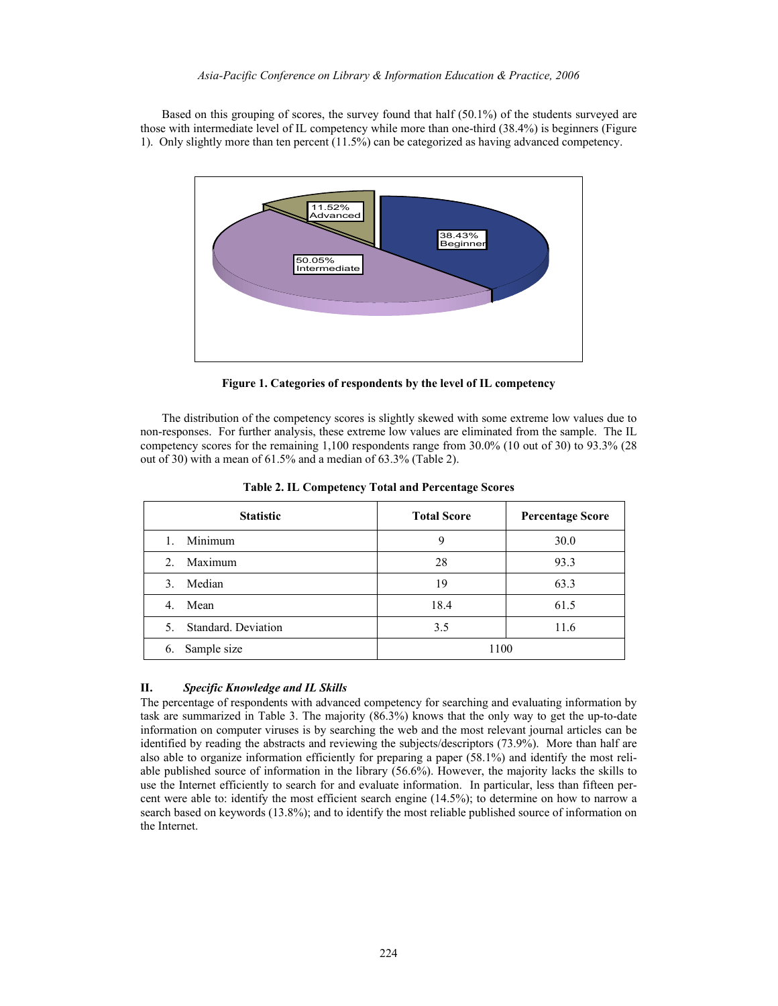Based on this grouping of scores, the survey found that half (50.1%) of the students surveyed are those with intermediate level of IL competency while more than one-third (38.4%) is beginners (Figure 1). Only slightly more than ten percent (11.5%) can be categorized as having advanced competency.



**Figure 1. Categories of respondents by the level of IL competency** 

The distribution of the competency scores is slightly skewed with some extreme low values due to non-responses. For further analysis, these extreme low values are eliminated from the sample. The IL competency scores for the remaining 1,100 respondents range from 30.0% (10 out of 30) to 93.3% (28 out of 30) with a mean of 61.5% and a median of 63.3% (Table 2).

| <b>Statistic</b>          | <b>Total Score</b> | <b>Percentage Score</b> |  |
|---------------------------|--------------------|-------------------------|--|
| Minimum                   | 9                  | 30.0                    |  |
| Maximum<br>$2_{-}$        | 28                 | 93.3                    |  |
| Median<br>3.              | 19                 | 63.3                    |  |
| Mean<br>4.                | 18.4               | 61.5                    |  |
| Standard, Deviation<br>5. | 3.5                | 11.6                    |  |
| Sample size<br>6.         | 1100               |                         |  |

**Table 2. IL Competency Total and Percentage Scores** 

## **II.** *Specific Knowledge and IL Skills*

The percentage of respondents with advanced competency for searching and evaluating information by task are summarized in Table 3. The majority (86.3%) knows that the only way to get the up-to-date information on computer viruses is by searching the web and the most relevant journal articles can be identified by reading the abstracts and reviewing the subjects/descriptors (73.9%). More than half are also able to organize information efficiently for preparing a paper (58.1%) and identify the most reliable published source of information in the library (56.6%). However, the majority lacks the skills to use the Internet efficiently to search for and evaluate information. In particular, less than fifteen percent were able to: identify the most efficient search engine (14.5%); to determine on how to narrow a search based on keywords (13.8%); and to identify the most reliable published source of information on the Internet.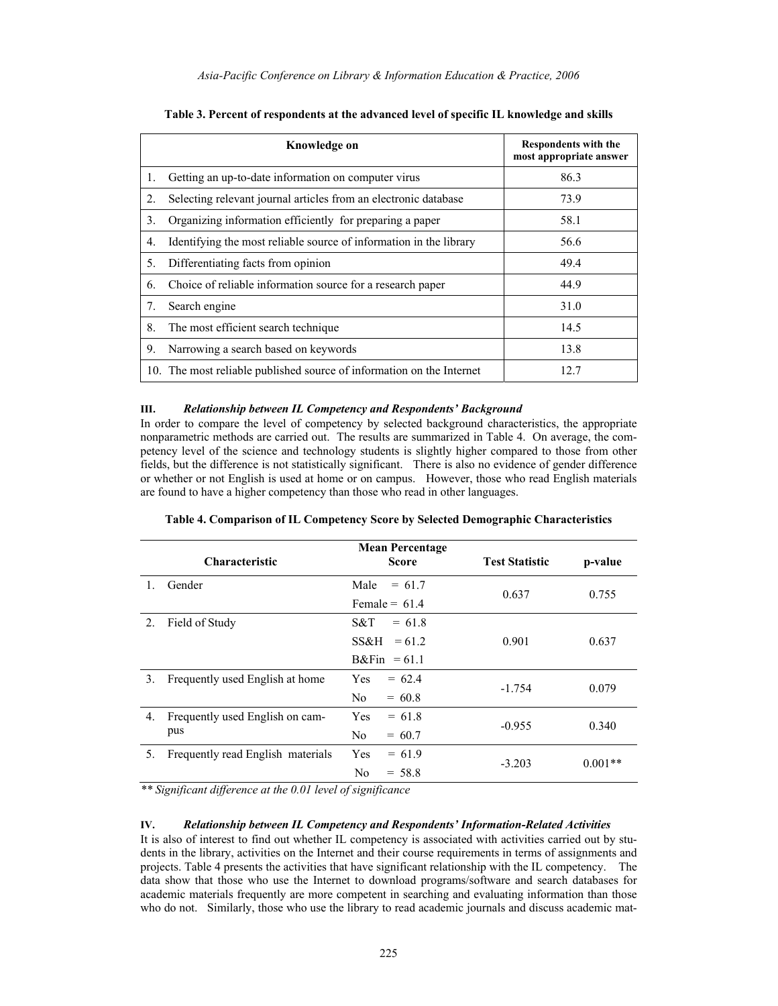|    | Knowledge on                                                          | <b>Respondents with the</b><br>most appropriate answer |
|----|-----------------------------------------------------------------------|--------------------------------------------------------|
| 1. | Getting an up-to-date information on computer virus                   | 86.3                                                   |
| 2. | Selecting relevant journal articles from an electronic database       | 73.9                                                   |
| 3. | Organizing information efficiently for preparing a paper              | 58.1                                                   |
| 4. | Identifying the most reliable source of information in the library    | 56.6                                                   |
| 5. | Differentiating facts from opinion                                    | 49.4                                                   |
| 6. | Choice of reliable information source for a research paper            | 44.9                                                   |
| 7. | Search engine                                                         | 31.0                                                   |
| 8. | The most efficient search technique                                   | 14.5                                                   |
| 9. | Narrowing a search based on keywords                                  | 13.8                                                   |
|    | 10. The most reliable published source of information on the Internet | 12.7                                                   |

|  |  | Table 3. Percent of respondents at the advanced level of specific IL knowledge and skills |
|--|--|-------------------------------------------------------------------------------------------|
|  |  |                                                                                           |

### **III.** *Relationship between IL Competency and Respondents' Background*

In order to compare the level of competency by selected background characteristics, the appropriate nonparametric methods are carried out. The results are summarized in Table 4. On average, the competency level of the science and technology students is slightly higher compared to those from other fields, but the difference is not statistically significant. There is also no evidence of gender difference or whether or not English is used at home or on campus. However, those who read English materials are found to have a higher competency than those who read in other languages.

|                | <b>Characteristic</b>                  | <b>Mean Percentage</b><br><b>Score</b>                        | <b>Test Statistic</b> | p-value   |
|----------------|----------------------------------------|---------------------------------------------------------------|-----------------------|-----------|
|                | Gender                                 | Male<br>$= 61.7$<br>Female = $61.4$                           | 0.637                 | 0.755     |
| 2 <sub>1</sub> | Field of Study                         | S&T<br>$= 61.8$<br>SS&H<br>$= 61.2$<br>$B\&\text{Fin} = 61.1$ | 0.901                 | 0.637     |
| 3.             | Frequently used English at home        | Yes<br>$= 62.4$<br>No.<br>$= 60.8$                            | $-1.754$              | 0.079     |
| 4.             | Frequently used English on cam-<br>pus | <b>Yes</b><br>$= 61.8$<br>No<br>$= 60.7$                      | $-0.955$              | 0.340     |
| 5.             | Frequently read English materials      | <b>Yes</b><br>$= 61.9$<br>N <sub>0</sub><br>$= 58.8$          | $-3.203$              | $0.001**$ |

| Table 4. Comparison of IL Competency Score by Selected Demographic Characteristics |  |  |  |  |
|------------------------------------------------------------------------------------|--|--|--|--|
|------------------------------------------------------------------------------------|--|--|--|--|

*\*\* Significant difference at the 0.01 level of significance* 

## **IV.** *Relationship between IL Competency and Respondents' Information-Related Activities*

It is also of interest to find out whether IL competency is associated with activities carried out by students in the library, activities on the Internet and their course requirements in terms of assignments and projects. Table 4 presents the activities that have significant relationship with the IL competency. The data show that those who use the Internet to download programs/software and search databases for academic materials frequently are more competent in searching and evaluating information than those who do not. Similarly, those who use the library to read academic journals and discuss academic mat-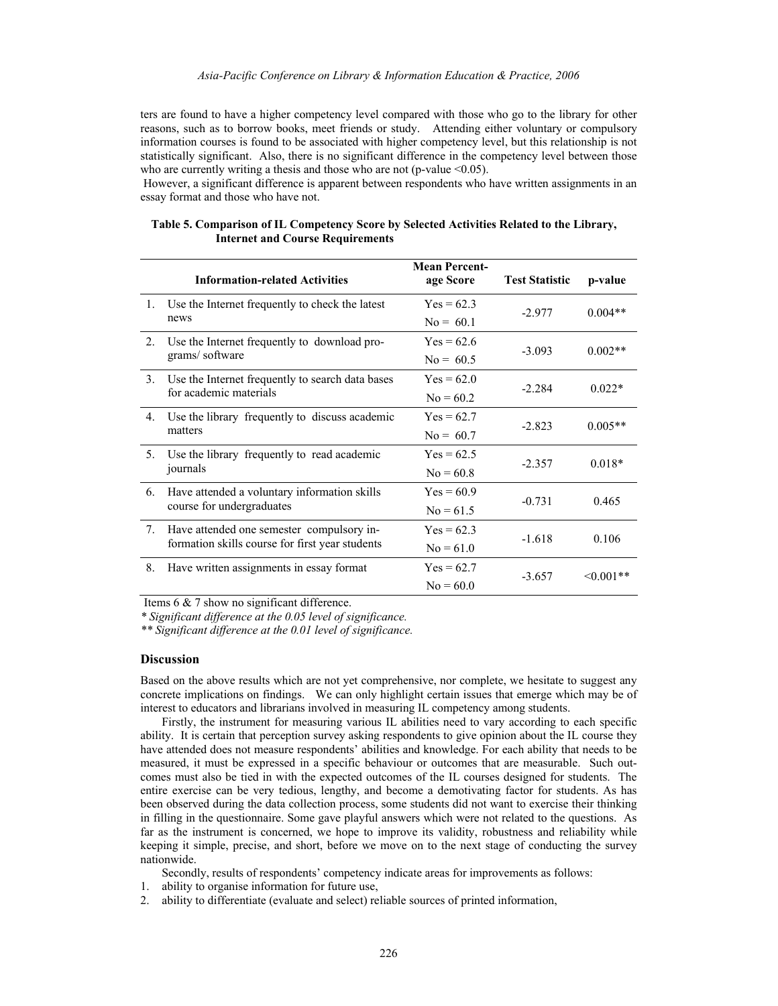#### *Asia-Pacific Conference on Library & Information Education & Practice, 2006*

ters are found to have a higher competency level compared with those who go to the library for other reasons, such as to borrow books, meet friends or study. Attending either voluntary or compulsory information courses is found to be associated with higher competency level, but this relationship is not statistically significant. Also, there is no significant difference in the competency level between those who are currently writing a thesis and those who are not (p-value  $\leq 0.05$ ).

 However, a significant difference is apparent between respondents who have written assignments in an essay format and those who have not.

|                | <b>Information-related Activities</b>                     | <b>Mean Percent-</b><br>age Score | <b>Test Statistic</b> | p-value        |  |
|----------------|-----------------------------------------------------------|-----------------------------------|-----------------------|----------------|--|
| $1_{\cdot}$    | Use the Internet frequently to check the latest<br>news   | $Yes = 62.3$                      | $-2.977$              | $0.004**$      |  |
|                |                                                           | $No = 601$                        |                       |                |  |
| 2.             | Use the Internet frequently to download pro-              | $Yes = 62.6$                      | $-3.093$              | $0.002**$      |  |
|                | grams/software                                            | $No = 60.5$                       |                       |                |  |
| 3 <sub>1</sub> | Use the Internet frequently to search data bases          | $Yes = 62.0$                      | $-2.284$              | $0.022*$       |  |
|                | for academic materials                                    | $No = 60.2$                       |                       |                |  |
| 4.             | Use the library frequently to discuss academic<br>matters | $Yes = 62.7$                      | $-2.823$              | $0.005**$      |  |
|                |                                                           | $No = 60.7$                       |                       |                |  |
| 5.             | Use the library frequently to read academic               | $Yes = 62.5$                      | $-2.357$              | $0.018*$       |  |
|                | journals                                                  | $No = 60.8$                       |                       |                |  |
| 6.             | Have attended a voluntary information skills              | $Yes = 60.9$                      | $-0.731$              | 0.465          |  |
|                | course for undergraduates                                 | $No = 61.5$                       |                       |                |  |
| 7.             | Have attended one semester compulsory in-                 | $Yes = 62.3$                      |                       | 0.106          |  |
|                | formation skills course for first year students           | $No = 61.0$                       | $-1.618$              |                |  |
| 8.             | Have written assignments in essay format                  | $Yes = 62.7$                      |                       |                |  |
|                |                                                           | $No = 60.0$                       | $-3.657$              | $\leq 0.001**$ |  |

| Table 5. Comparison of IL Competency Score by Selected Activities Related to the Library, |  |  |
|-------------------------------------------------------------------------------------------|--|--|
| <b>Internet and Course Requirements</b>                                                   |  |  |

Items 6 & 7 show no significant difference.

*\* Significant difference at the 0.05 level of significance.* 

*\*\* Significant difference at the 0.01 level of significance.* 

#### **Discussion**

Based on the above results which are not yet comprehensive, nor complete, we hesitate to suggest any concrete implications on findings. We can only highlight certain issues that emerge which may be of interest to educators and librarians involved in measuring IL competency among students.

Firstly, the instrument for measuring various IL abilities need to vary according to each specific ability. It is certain that perception survey asking respondents to give opinion about the IL course they have attended does not measure respondents' abilities and knowledge. For each ability that needs to be measured, it must be expressed in a specific behaviour or outcomes that are measurable. Such outcomes must also be tied in with the expected outcomes of the IL courses designed for students. The entire exercise can be very tedious, lengthy, and become a demotivating factor for students. As has been observed during the data collection process, some students did not want to exercise their thinking in filling in the questionnaire. Some gave playful answers which were not related to the questions. As far as the instrument is concerned, we hope to improve its validity, robustness and reliability while keeping it simple, precise, and short, before we move on to the next stage of conducting the survey nationwide.

Secondly, results of respondents' competency indicate areas for improvements as follows:

- 1. ability to organise information for future use,
- 2. ability to differentiate (evaluate and select) reliable sources of printed information,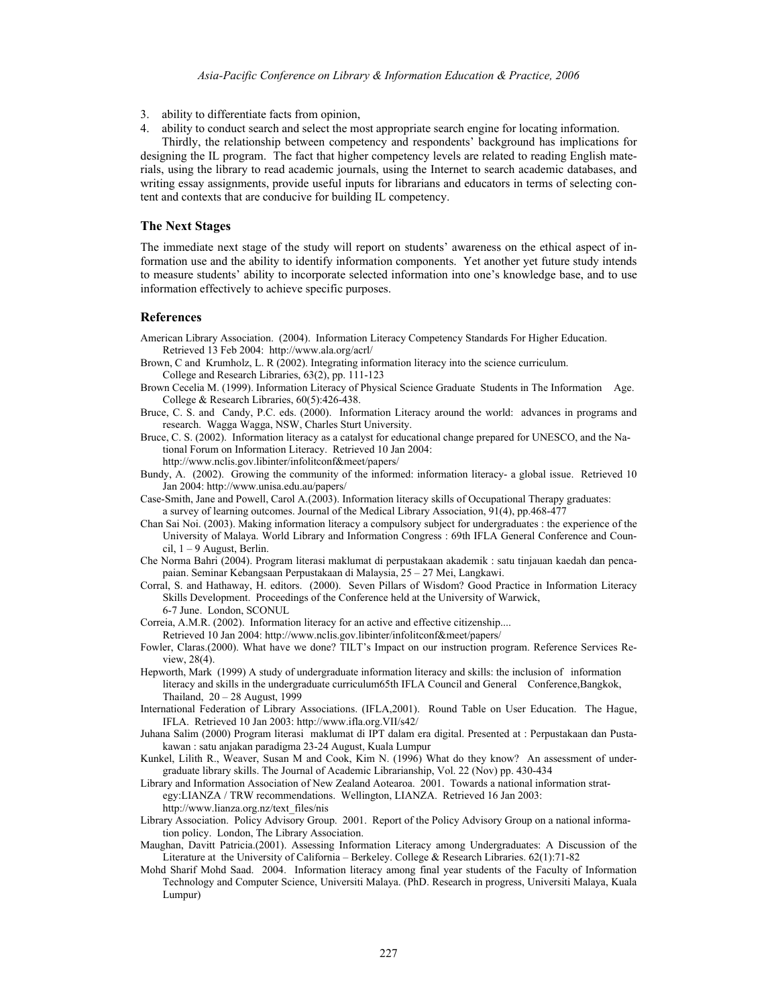- 3. ability to differentiate facts from opinion,
- 4. ability to conduct search and select the most appropriate search engine for locating information.

Thirdly, the relationship between competency and respondents' background has implications for designing the IL program. The fact that higher competency levels are related to reading English materials, using the library to read academic journals, using the Internet to search academic databases, and writing essay assignments, provide useful inputs for librarians and educators in terms of selecting content and contexts that are conducive for building IL competency.

#### **The Next Stages**

The immediate next stage of the study will report on students' awareness on the ethical aspect of information use and the ability to identify information components. Yet another yet future study intends to measure students' ability to incorporate selected information into one's knowledge base, and to use information effectively to achieve specific purposes.

#### **References**

American Library Association. (2004). Information Literacy Competency Standards For Higher Education. Retrieved 13 Feb 2004: http://www.ala.org/acrl/

Brown, C and Krumholz, L. R (2002). Integrating information literacy into the science curriculum. College and Research Libraries, 63(2), pp. 111-123

- Brown Cecelia M. (1999). Information Literacy of Physical Science Graduate Students in The Information Age. College & Research Libraries, 60(5):426-438.
- Bruce, C. S. and Candy, P.C. eds. (2000). Information Literacy around the world: advances in programs and research. Wagga Wagga, NSW, Charles Sturt University.
- Bruce, C. S. (2002). Information literacy as a catalyst for educational change prepared for UNESCO, and the National Forum on Information Literacy. Retrieved 10 Jan 2004:

http://www.nclis.gov.libinter/infolitconf&meet/papers/

Bundy, A. (2002). Growing the community of the informed: information literacy- a global issue. Retrieved 10 Jan 2004: http://www.unisa.edu.au/papers/

Case-Smith, Jane and Powell, Carol A.(2003). Information literacy skills of Occupational Therapy graduates: a survey of learning outcomes. Journal of the Medical Library Association, 91(4), pp.468-477

- Chan Sai Noi. (2003). Making information literacy a compulsory subject for undergraduates : the experience of the University of Malaya. World Library and Information Congress : 69th IFLA General Conference and Council,  $1 - 9$  August, Berlin.
- Che Norma Bahri (2004). Program literasi maklumat di perpustakaan akademik : satu tinjauan kaedah dan pencapaian. Seminar Kebangsaan Perpustakaan di Malaysia, 25 – 27 Mei, Langkawi.
- Corral, S. and Hathaway, H. editors. (2000). Seven Pillars of Wisdom? Good Practice in Information Literacy Skills Development. Proceedings of the Conference held at the University of Warwick, 6-7 June. London, SCONUL
- Correia, A.M.R. (2002). Information literacy for an active and effective citizenship....

Retrieved 10 Jan 2004: http://www.nclis.gov.libinter/infolitconf&meet/papers/

- Fowler, Claras.(2000). What have we done? TILT's Impact on our instruction program. Reference Services Review, 28(4).
- Hepworth, Mark (1999) A study of undergraduate information literacy and skills: the inclusion of information literacy and skills in the undergraduate curriculum65th IFLA Council and General Conference,Bangkok, Thailand, 20 – 28 August, 1999
- International Federation of Library Associations. (IFLA,2001). Round Table on User Education. The Hague, IFLA. Retrieved 10 Jan 2003: http://www.ifla.org.VII/s42/
- Juhana Salim (2000) Program literasi maklumat di IPT dalam era digital. Presented at : Perpustakaan dan Pustakawan : satu anjakan paradigma 23-24 August, Kuala Lumpur
- Kunkel, Lilith R., Weaver, Susan M and Cook, Kim N. (1996) What do they know? An assessment of undergraduate library skills. The Journal of Academic Librarianship, Vol. 22 (Nov) pp. 430-434
- Library and Information Association of New Zealand Aotearoa. 2001. Towards a national information strategy:LIANZA / TRW recommendations. Wellington, LIANZA. Retrieved 16 Jan 2003: http://www.lianza.org.nz/text\_files/nis
- Library Association. Policy Advisory Group. 2001. Report of the Policy Advisory Group on a national information policy. London, The Library Association.
- Maughan, Davitt Patricia.(2001). Assessing Information Literacy among Undergraduates: A Discussion of the Literature at the University of California – Berkeley. College & Research Libraries. 62(1):71-82
- Mohd Sharif Mohd Saad. 2004. Information literacy among final year students of the Faculty of Information Technology and Computer Science, Universiti Malaya. (PhD. Research in progress, Universiti Malaya, Kuala Lumpur)